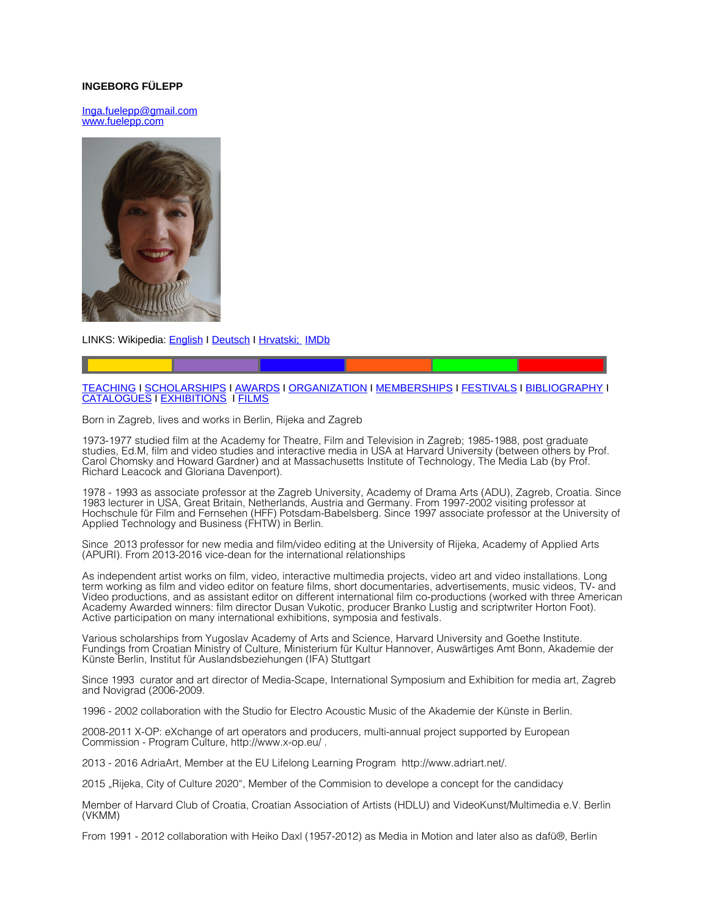## **INGEBORG FÜLEPP**

[Inga.fuelepp@gmail.com](mailto:Inga.fuelepp@gmail.com) www.fuelepp.com



LINKS: Wikipedia: **English I [Deutsch](http://de.wikipedia.org/wiki/Ingeborg_F%C3%BClepp) I Hrvatski; [IMDb](http://us.imdb.com/name/nm0299782/)** 

# [TEACHING](#page-1-2) I [SCHOLARSHIPS](#page-1-1) I [AWARDS](#page-1-0) I [ORGANIZATION](#page-2-0) I [MEMBERSHIPS](http://Mmberships/) I [FESTIVALS](#page-3-0) I [BIBLIOGRAPHY](#page-4-0) I [CATALOGUES](#page-5-0) I [EXHIBITIONS](#page-6-0) I [FILMS](#page-6-0)

Born in Zagreb, lives and works in Berlin, Rijeka and Zagreb

1973-1977 studied film at the Academy for Theatre, Film and Television in Zagreb; 1985-1988, post graduate studies, Ed.M, film and video studies and interactive media in USA at Harvard University (between others by Prof. Carol Chomsky and Howard Gardner) and at Massachusetts Institute of Technology, The Media Lab (by Prof. Richard Leacock and Gloriana Davenport).

1978 - 1993 as associate professor at the Zagreb University, Academy of Drama Arts (ADU), Zagreb, Croatia. Since 1983 lecturer in USA, Great Britain, Netherlands, Austria and Germany. From 1997-2002 visiting professor at Hochschule für Film and Fernsehen (HFF) Potsdam-Babelsberg. Since 1997 associate professor at the University of Applied Technology and Business (FHTW) in Berlin.

Since 2013 professor for new media and film/video editing at the University of Rijeka, Academy of Applied Arts (APURI). From 2013-2016 vice-dean for the international relationships

As independent artist works on film, video, interactive multimedia projects, video art and video installations. Long term working as film and video editor on feature films, short documentaries, advertisements, music videos, TV- and Video productions, and as assistant editor on different international film co-productions (worked with three American Academy Awarded winners: film director Dusan Vukotic, producer Branko Lustig and scriptwriter Horton Foot). Active participation on many international exhibitions, symposia and festivals.

Various scholarships from Yugoslav Academy of Arts and Science, Harvard University and Goethe Institute. Fundings from Croatian Ministry of Culture, Ministerium für Kultur Hannover, Auswärtiges Amt Bonn, Akademie der Künste Berlin, Institut für Auslandsbeziehungen (IFA) Stuttgart

Since 1993 curator and art director of Media-Scape, International Symposium and Exhibition for media art, Zagreb and Novigrad (2006-2009.

1996 - 2002 collaboration with the Studio for Electro Acoustic Music of the Akademie der Künste in Berlin.

2008-2011 X-OP: eXchange of art operators and producers, multi-annual project supported by European Commission - Program Culture, http://www.x-op.eu/ .

2013 - 2016 AdriaArt, Member at the EU Lifelong Learning Program http://www.adriart.net/.

2015 "Rijeka, City of Culture 2020", Member of the Commision to develope a concept for the candidacy

Member of Harvard Club of Croatia, Croatian Association of Artists (HDLU) and VideoKunst/Multimedia e.V. Berlin (VKMM)

From 1991 - 2012 collaboration with Heiko Daxl (1957-2012) as Media in Motion and later also as dafü®, Berlin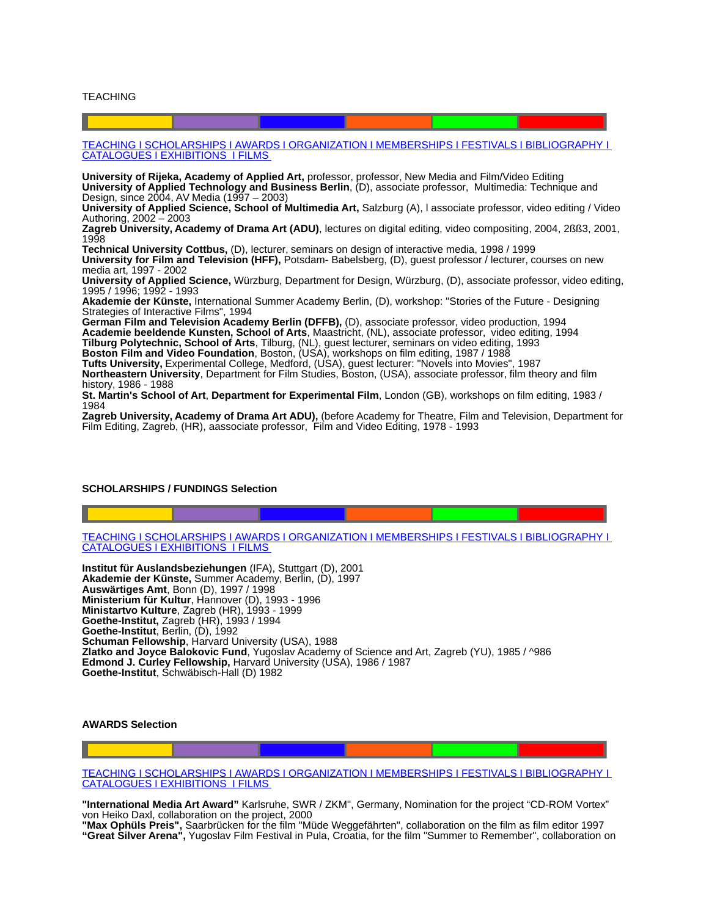<span id="page-1-2"></span>TEACHING

 [TEACHING](#page-1-2) I [SCHOLARSHIPS](#page-1-1) I [AWARDS](#page-1-0) I [ORGANIZATION](#page-2-0) I [MEMBERSHIPS](http://Mmberships/) I [FESTIVALS](#page-3-0) I [BIBLIOGRAPHY](#page-4-0) I  [CATALOGUES](#page-5-0) I [EXHIBITIONS](#page-6-0) I [FILMS](#page-6-0)

**University of Rijeka, Academy of Applied Art,** professor, professor, New Media and Film/Video Editing **University of Applied Technology and Business Berlin**, (D), associate professor, Multimedia: Technique and Design, since 2004, AV Media (1997 – 2003)

**University of Applied Science, School of Multimedia Art,** Salzburg (A), l associate professor, video editing / Video Authoring, 2002 – 2003

**Zagreb University, Academy of Drama Art (ADU)**, lectures on digital editing, video compositing, 2004, 2ßß3, 2001, 1998

**Technical University Cottbus,** (D), lecturer, seminars on design of interactive media, 1998 / 1999 **University for Film and Television (HFF),** Potsdam- Babelsberg, (D), guest professor / lecturer, courses on new media art, 1997 - 2002

**University of Applied Science,** Würzburg, Department for Design, Würzburg, (D), associate professor, video editing, 1995 / 1996; 1992 - 1993

**Akademie der Künste,** International Summer Academy Berlin, (D), workshop: "Stories of the Future - Designing Strategies of Interactive Films", 1994

**German Film and Television Academy Berlin (DFFB),** (D), associate professor, video production, 1994 **Academie beeldende Kunsten, School of Arts**, Maastricht, (NL), associate professor, video editing, 1994 **Tilburg Polytechnic, School of Arts**, Tilburg, (NL), guest lecturer, seminars on video editing, 1993 **Boston Film and Video Foundation**, Boston, (USA), workshops on film editing, 1987 / 1988 **Tufts University,** Experimental College, Medford, (USA), guest lecturer: "Novels into Movies", 1987

**Northeastern University**, Department for Film Studies, Boston, (USA), associate professor, film theory and film history, 1986 - 1988

**St. Martin's School of Art**, **Department for Experimental Film**, London (GB), workshops on film editing, 1983 / 1984

**Zagreb University, Academy of Drama Art ADU),** (before Academy for Theatre, Film and Television, Department for Film Editing, Zagreb, (HR), aassociate professor, Film and Video Editing, 1978 - 1993

### <span id="page-1-1"></span>**SCHOLARSHIPS / FUNDINGS Selection**

 [TEACHING](#page-1-2) I [SCHOLARSHIPS](#page-1-1) I [AWARDS](#page-1-0) I [ORGANIZATION](#page-2-0) I [MEMBERSHIPS](http://Mmberships/) I [FESTIVALS](#page-3-0) I [BIBLIOGRAPHY](#page-4-0) I  [CATALOGUES](#page-5-0) I [EXHIBITIONS](#page-6-0) I [FILMS](#page-6-0)

**Institut für Auslandsbeziehungen** (IFA), Stuttgart (D), 2001 **Akademie der Künste,** Summer Academy, Berlin, (D), 1997 **Auswärtiges Amt**, Bonn (D), 1997 / 1998 **Ministerium für Kultur**, Hannover (D), 1993 - 1996 **Ministartvo Kulture**, Zagreb (HR), 1993 - 1999 **Goethe-Institut,** Zagreb (HR), 1993 / 1994 **Goethe-Institut**, Berlin, (D), 1992 **Schuman Fellowship**, Harvard University (USA), 1988 **Zlatko and Joyce Balokovic Fund**, Yugoslav Academy of Science and Art, Zagreb (YU), 1985 / ^986 **Edmond J. Curley Fellowship,** Harvard University (USA), 1986 / 1987 **Goethe-Institut**, Schwäbisch-Hall (D) 1982

## <span id="page-1-0"></span>**AWARDS Selection**

 [TEACHING](#page-1-2) I [SCHOLARSHIPS](#page-1-1) I [AWARDS](#page-1-0) I [ORGANIZATION](#page-2-0) I [MEMBERSHIPS](http://Mmberships/) I [FESTIVALS](#page-3-0) I [BIBLIOGRAPHY](#page-4-0) I  [CATALOGUES](#page-5-0) I [EXHIBITIONS](#page-6-0) I [FILMS](#page-6-0)

**"International Media Art Award"** Karlsruhe, SWR / ZKM", Germany, Nomination for the project "CD-ROM Vortex" von Heiko Daxl, collaboration on the project, 2000

**"Max Ophüls Preis",** Saarbrücken for the film "Müde Weggefährten", collaboration on the film as film editor 1997 **"Great Silver Arena",** Yugoslav Film Festival in Pula, Croatia, for the film "Summer to Remember", collaboration on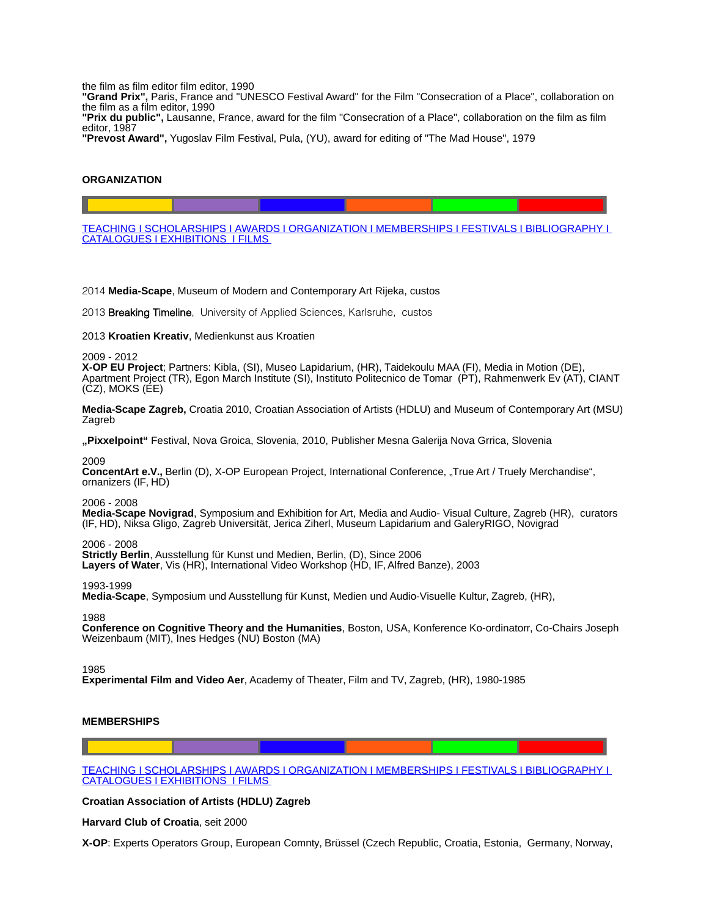the film as film editor film editor, 1990

**"Grand Prix",** Paris, France and "UNESCO Festival Award" for the Film "Consecration of a Place", collaboration on the film as a film editor, 1990

**"Prix du public",** Lausanne, France, award for the film "Consecration of a Place", collaboration on the film as film editor, 1987

**"Prevost Award",** Yugoslav Film Festival, Pula, (YU), award for editing of "The Mad House", 1979

## <span id="page-2-0"></span>**ORGANIZATION**

 [TEACHING](#page-1-2) I [SCHOLARSHIPS](#page-1-1) I [AWARDS](#page-1-0) I [ORGANIZATION](#page-2-0) I [MEMBERSHIPS](http://Mmberships/) I [FESTIVALS](#page-3-0) I [BIBLIOGRAPHY](#page-4-0) I  [CATALOGUES](#page-5-0) I [EXHIBITIONS](#page-6-0) I [FILMS](#page-6-0)

2014 **Media-Scape**, Museum of Modern and Contemporary Art Rijeka, custos

2013 Breaking Timeline, University of Applied Sciences, Karlsruhe, custos

2013 **Kroatien Kreativ**, Medienkunst aus Kroatien

2009 - 2012

**X-OP EU Project**; Partners: Kibla, (SI), Museo Lapidarium, (HR), Taidekoulu MAA (FI), Media in Motion (DE), Apartment Project (TR), Egon March Institute (SI), Instituto Politecnico de Tomar (PT), Rahmenwerk Ev (AT), CIANT (CZ), MOKS (EE)

**Media-Scape Zagreb,** Croatia 2010, Croatian Association of Artists (HDLU) and Museum of Contemporary Art (MSU) Zagreb

**"Pixxelpoint"** Festival, Nova Groica, Slovenia, 2010, Publisher Mesna Galerija Nova Grrica, Slovenia

2009

ConcentArt e.V., Berlin (D), X-OP European Project, International Conference, "True Art / Truely Merchandise", ornanizers (IF, HD)

### 2006 - 2008

**Media-Scape Novigrad**, Symposium and Exhibition for Art, Media and Audio- Visual Culture, Zagreb (HR), curators (IF, HD), Niksa Gligo, Zagreb Universität, Jerica Ziherl, Museum Lapidarium and GaleryRIGO, Novigrad

2006 - 2008

**Strictly Berlin**, Ausstellung für Kunst und Medien, Berlin, (D), Since 2006

Layers of Water, Vis (HR), International Video Workshop (HD, IF, Alfred Banze), 2003

1993-1999

**Media-Scape**, Symposium und Ausstellung für Kunst, Medien und Audio-Visuelle Kultur, Zagreb, (HR),

1988

**Conference on Cognitive Theory and the Humanities**, Boston, USA, Konference Ko-ordinatorr, Co-Chairs Joseph Weizenbaum (MIT), Ines Hedges (NU) Boston (MA)

1985

**Experimental Film and Video Aer**, Academy of Theater, Film and TV, Zagreb, (HR), 1980-1985

### **MEMBERSHIPS**

 [TEACHING](#page-1-2) I [SCHOLARSHIPS](#page-1-1) I [AWARDS](#page-1-0) I [ORGANIZATION](#page-2-0) I [MEMBERSHIPS](http://Mmberships/) I [FESTIVALS](#page-3-0) I [BIBLIOGRAPHY](#page-4-0) I  [CATALOGUES](#page-5-0) I [EXHIBITIONS](#page-6-0) I [FILMS](#page-6-0)

**Croatian Association of Artists (HDLU) Zagreb** 

**Harvard Club of Croatia**, seit 2000

**X-OP**: Experts Operators Group, European Comnty, Brüssel (Czech Republic, Croatia, Estonia, Germany, Norway,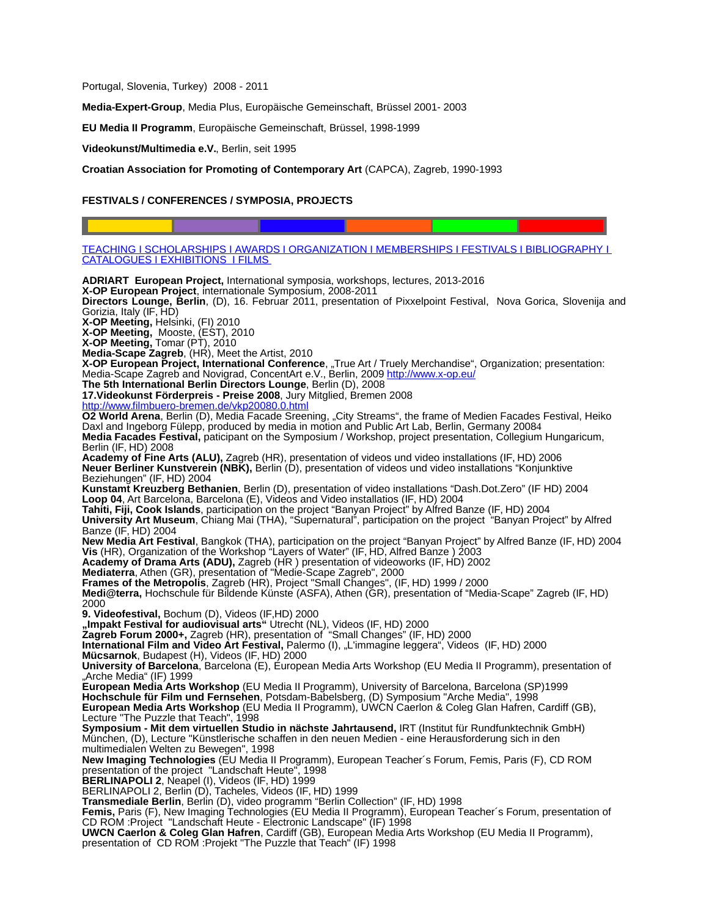Portugal, Slovenia, Turkey) 2008 - 2011

**Media-Expert-Group**, Media Plus, Europäische Gemeinschaft, Brüssel 2001- 2003

**EU Media II Programm**, Europäische Gemeinschaft, Brüssel, 1998-1999

**Videokunst/Multimedia e.V.**, Berlin, seit 1995

**Croatian Association for Promoting of Contemporary Art** (CAPCA), Zagreb, 1990-1993

### <span id="page-3-0"></span>**FESTIVALS / CONFERENCES / SYMPOSIA, PROJECTS**

 [TEACHING](#page-1-2) I [SCHOLARSHIPS](#page-1-1) I [AWARDS](#page-1-0) I [ORGANIZATION](#page-2-0) I [MEMBERSHIPS](http://Mmberships/) I [FESTIVALS](#page-3-0) I [BIBLIOGRAPHY](#page-4-0) I  [CATALOGUES](#page-5-0) I [EXHIBITIONS](#page-6-0) I [FILMS](#page-6-0)

**ADRIART European Project,** International symposia, workshops, lectures, 2013-2016 **X-OP European Project**, internationale Symposium, 2008-2011 **Directors Lounge, Berlin**, (D), 16. Februar 2011, presentation of Pixxelpoint Festival, Nova Gorica, Slovenija and Gorizia, Italy (IF, HD) **X-OP Meeting,** Helsinki, (FI) 2010 **X-OP Meeting,** Mooste, (EST), 2010 **X-OP Meeting,** Tomar (PT), 2010 **Media-Scape Zagreb**, (HR), Meet the Artist, 2010 **X-OP European Project, International Conference**, "True Art / Truely Merchandise", Organization; presentation: Media-Scape Zagreb and Novigrad, ConcentArt e.V., Berlin, 2009<http://www.x-op.eu/> **The 5th International Berlin Directors Lounge**, Berlin (D), 2008 **17.Videokunst Förderpreis - Preise 2008**, Jury Mitglied, Bremen 2008 <http://www.filmbuero-bremen.de/vkp20080.0.html> **O2 World Arena**, Berlin (D), Media Facade Sreening, "City Streams", the frame of Medien Facades Festival, Heiko Daxl and Ingeborg Fülepp, produced by media in motion and Public Art Lab, Berlin, Germany 20084 **Media Facades Festival,** paticipant on the Symposium / Workshop, project presentation, Collegium Hungaricum, Berlin (IF, HD) 2008 **Academy of Fine Arts (ALU),** Zagreb (HR), presentation of videos und video installations (IF, HD) 2006 **Neuer Berliner Kunstverein (NBK),** Berlin (D), presentation of videos und video installations "Konjunktive Beziehungen" (IF, HD) 2004 **Kunstamt Kreuzberg Bethanien**, Berlin (D), presentation of video installations "Dash.Dot.Zero" (IF HD) 2004 **Loop 04**, Art Barcelona, Barcelona (E), Videos and Video installatios (IF, HD) 2004 **Tahiti, Fiji, Cook Islands**, participation on the project "Banyan Project" by Alfred Banze (IF, HD) 2004 **University Art Museum**, Chiang Mai (THA), "Supernatural", participation on the project "Banyan Project" by Alfred Banze (IF, HD) 2004 **New Media Art Festival**, Bangkok (THA), participation on the project "Banyan Project" by Alfred Banze (IF, HD) 2004 **Vis** (HR), Organization of the Workshop "Layers of Water" (IF, HD, Alfred Banze ) 2003 **Academy of Drama Arts (ADU),** Zagreb (HR ) presentation of videoworks (IF, HD) 2002 **Mediaterra**, Athen (GR), presentation of "Medie-Scape Zagreb", 2000 **Frames of the Metropolis**, Zagreb (HR), Project "Small Changes", (IF, HD) 1999 / 2000 **Medi@terra,** Hochschule für Bildende Künste (ASFA), Athen (GR), presentation of "Media-Scape" Zagreb (IF, HD) 2000 **9. Videofestival,** Bochum (D), Videos (IF,HD) 2000 **"Impakt Festival for audiovisual arts"** Utrecht (NL), Videos (IF, HD) 2000 **Zagreb Forum 2000+,** Zagreb (HR), presentation of "Small Changes" (IF, HD) 2000 **International Film and Video Art Festival,** Palermo (I), "L'immagine leggera", Videos (IF, HD) 2000 **Mücsarnok**, Budapest (H), Videos (IF, HD) 2000 **University of Barcelona**, Barcelona (E), European Media Arts Workshop (EU Media II Programm), presentation of "Arche Media" (IF) 1999 **European Media Arts Workshop** (EU Media II Programm), University of Barcelona, Barcelona (SP)1999 **Hochschule für Film und Fernsehen**, Potsdam-Babelsberg, (D) Symposium "Arche Media", 1998 **European Media Arts Workshop** (EU Media II Programm), UWCN Caerlon & Coleg Glan Hafren, Cardiff (GB), Lecture "The Puzzle that Teach", 1998 **Symposium - Mit dem virtuellen Studio in nächste Jahrtausend,** IRT (Institut für Rundfunktechnik GmbH) München, (D), Lecture "Künstlerische schaffen in den neuen Medien - eine Herausforderung sich in den multimedialen Welten zu Bewegen", 1998 **New Imaging Technologies** (EU Media II Programm), European Teacher´s Forum, Femis, Paris (F), CD ROM presentation of the project "Landschaft Heute", 1998 **BERLINAPOLI 2**, Neapel (I), Videos (IF, HD) 1999 BERLINAPOLI 2, Berlin (D), Tacheles, Videos (IF, HD) 1999 **Transmediale Berlin**, Berlin (D), video programm "Berlin Collection" (IF, HD) 1998 **Femis,** Paris (F), New Imaging Technologies (EU Media II Programm), European Teacher´s Forum, presentation of CD ROM :Project "Landschaft Heute - Electronic Landscape" (IF) 1998 **UWCN Caerlon & Coleg Glan Hafren**, Cardiff (GB), European Media Arts Workshop (EU Media II Programm), presentation of CD ROM :Projekt "The Puzzle that Teach" (IF) 1998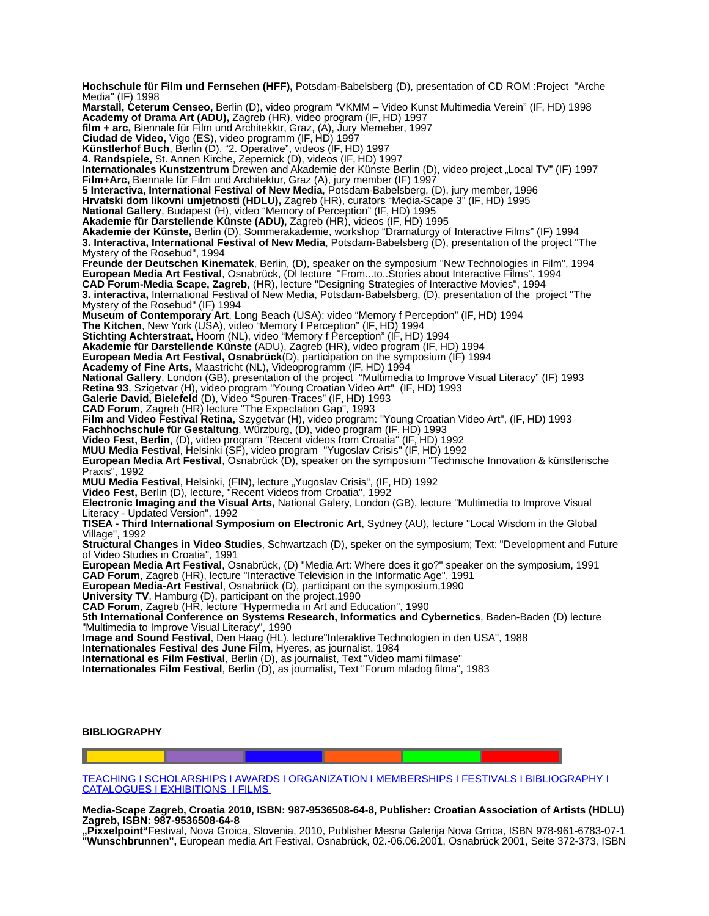**Hochschule für Film und Fernsehen (HFF),** Potsdam-Babelsberg (D), presentation of CD ROM :Project "Arche Media" (IF) 1998 **Marstall, Ceterum Censeo,** Berlin (D), video program "VKMM – Video Kunst Multimedia Verein" (IF, HD) 1998 **Academy of Drama Art (ADU),** Zagreb (HR), video program (IF, HD) 1997 **film + arc,** Biennale für Film und Architekktr, Graz, (A), Jury Memeber, 1997 **Ciudad de Video,** Vigo (ES), video programm (IF, HD) 1997 **Künstlerhof Buch**, Berlin (D), "2. Operative", videos (IF, HD) 1997 **4. Randspiele,** St. Annen Kirche, Zepernick (D), videos (IF, HD) 1997 **Internationales Kunstzentrum** Drewen and Akademie der Künste Berlin (D), video project "Local TV" (IF) 1997 **Film+Arc,** Biennale für Film und Architektur, Graz (A), jury member (IF) 1997 **5 Interactiva, International Festival of New Media**, Potsdam-Babelsberg, (D), jury member, 1996 **Hrvatski dom likovni umjetnosti (HDLU),** Zagreb (HR), curators "Media-Scape 3" (IF, HD) 1995 **National Gallery**, Budapest (H), video "Memory of Perception" (IF, HD) 1995 **Akademie für Darstellende Künste (ADU),** Zagreb (HR), videos (IF, HD) 1995 **Akademie der Künste,** Berlin (D), Sommerakademie, workshop "Dramaturgy of Interactive Films" (IF) 1994 **3. Interactiva, International Festival of New Media**, Potsdam-Babelsberg (D), presentation of the project "The Mystery of the Rosebud", 1994 **Freunde der Deutschen Kinematek**, Berlin, (D), speaker on the symposium "New Technologies in Film", 1994 **European Media Art Festival**, Osnabrück, (Dl lecture "From...to..Stories about Interactive Films", 1994 **CAD Forum-Media Scape, Zagreb**, (HR), lecture "Designing Strategies of Interactive Movies", 1994 **3. interactiva,** International Festival of New Media, Potsdam-Babelsberg, (D), presentation of the project "The Mystery of the Rosebud" (IF) 1994 **Museum of Contemporary Art**, Long Beach (USA): video "Memory f Perception" (IF, HD) 1994 **The Kitchen**, New York (USA), video "Memory f Perception" (IF, HD) 1994 **Stichting Achterstraat,** Hoorn (NL), video "Memory f Perception" (IF, HD) 1994 **Akademie für Darstellende Künste** (ADU), Zagreb (HR), video program (IF, HD) 1994 **European Media Art Festival, Osnabrück**(D), participation on the symposium (IF) 1994 **Academy of Fine Arts**, Maastricht (NL), Videoprogramm (IF, HD) 1994 **National Gallery**, London (GB), presentation of the project "Multimedia to Improve Visual Literacy" (IF) 1993 **Retina 93**, Szigetvar (H), video program "Young Croatian Video Art" (IF, HD) 1993 **Galerie David, Bielefeld** (D), Video "Spuren-Traces" (IF, HD) 1993 **CAD Forum**, Zagreb (HR) lecture "The Expectation Gap", 1993 **Film and Video Festival Retina,** Szygetvar (H), video program: "Young Croatian Video Art", (IF, HD) 1993 **Fachhochschule für Gestaltung**, Würzburg, (D), video program (IF, HD) 1993 **Video Fest, Berlin**, (D), video program "Recent videos from Croatia" (IF, HD) 1992 **MUU Media Festival**, Helsinki (SF), video program "Yugoslav Crisis" (IF, HD) 1992 **European Media Art Festival**, Osnabrück (D), speaker on the symposium "Technische Innovation & künstlerische Praxis", 1992 **MUU Media Festival**, Helsinki, (FIN), lecture "Yugoslav Crisis", (IF, HD) 1992 **Video Fest,** Berlin (D), lecture, "Recent Videos from Croatia", 1992 **Electronic Imaging and the Visual Arts,** National Galery, London (GB), lecture "Multimedia to Improve Visual Literacy - Updated Version", 1992 **TISEA - Third International Symposium on Electronic Art**, Sydney (AU), lecture "Local Wisdom in the Global Village", 1992 **Structural Changes in Video Studies**, Schwartzach (D), speker on the symposium; Text: "Development and Future of Video Studies in Croatia", 1991 **European Media Art Festival**, Osnabrück, (D) "Media Art: Where does it go?" speaker on the symposium, 1991 **CAD Forum**, Zagreb (HR), lecture "Interactive Television in the Informatic Age", 1991 **European Media-Art Festival**, Osnabrück (D), participant on the symposium,1990 **University TV**, Hamburg (D), participant on the project,1990 **CAD Forum**, Zagreb (HR, lecture "Hypermedia in Art and Education", 1990 **5th International Conference on Systems Research, Informatics and Cybernetics**, Baden-Baden (D) lecture "Multimedia to Improve Visual Literacy", 1990 **Image and Sound Festival**, Den Haag (HL), lecture"Interaktive Technologien in den USA", 1988 **Internationales Festival des June Film**, Hyeres, as journalist, 1984 **International es Film Festival**, Berlin (D), as journalist, Text "Video mami filmase" **Internationales Film Festival**, Berlin (D), as journalist, Text "Forum mladog filma", 1983

<span id="page-4-0"></span>**BIBLIOGRAPHY**

 [TEACHING](#page-1-2) I [SCHOLARSHIPS](#page-1-1) I [AWARDS](#page-1-0) I [ORGANIZATION](#page-2-0) I [MEMBERSHIPS](http://Mmberships/) I [FESTIVALS](#page-3-0) I [BIBLIOGRAPHY](#page-4-0) I  [CATALOGUES](#page-5-0) I [EXHIBITIONS](#page-6-0) I [FILMS](#page-6-0)

**Media-Scape Zagreb, Croatia 2010, ISBN: 987-9536508-64-8, Publisher: Croatian Association of Artists (HDLU) Zagreb, ISBN: 987-9536508-64-8**

**"Pixxelpoint"**Festival, Nova Groica, Slovenia, 2010, Publisher Mesna Galerija Nova Grrica, ISBN 978-961-6783-07-1 **"Wunschbrunnen",** European media Art Festival, Osnabrück, 02.-06.06.2001, Osnabrück 2001, Seite 372-373, ISBN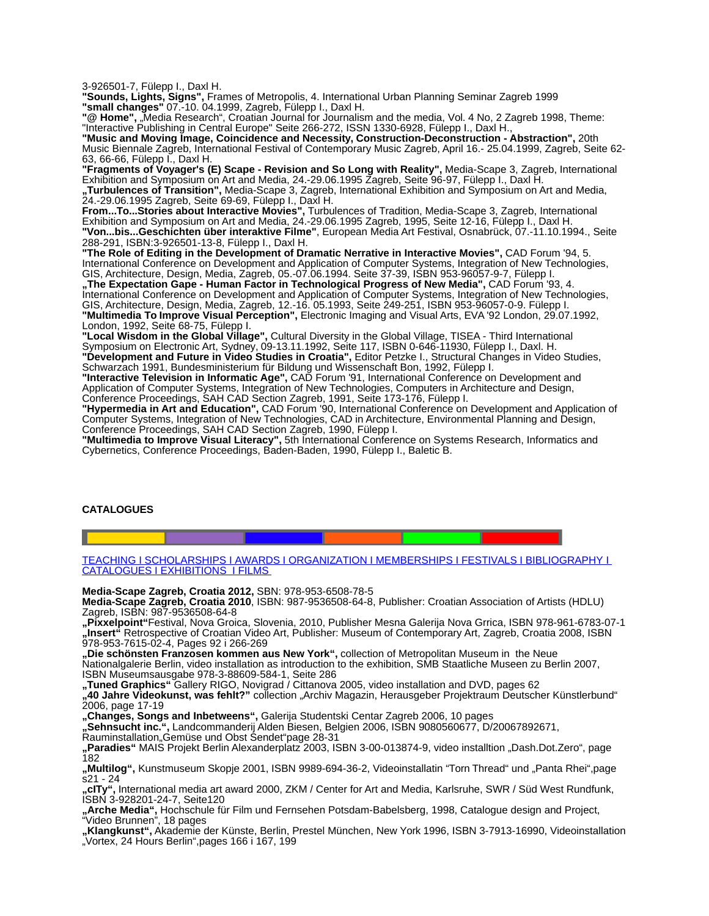3-926501-7, Fülepp I., Daxl H.

**"Sounds, Lights, Signs",** Frames of Metropolis, 4. International Urban Planning Seminar Zagreb 1999 **"small changes"** 07.-10. 04.1999, Zagreb, Fülepp I., Daxl H.

"@ Home", "Media Research", Croatian Journal for Journalism and the media, Vol. 4 No, 2 Zagreb 1998, Theme: "Interactive Publishing in Central Europe" Seite 266-272, ISSN 1330-6928, Fülepp I., Daxl H., **"Music and Moving Image, Coincidence and Necessity, Construction-Deconstruction - Abstraction",** 20th

Music Biennale Zagreb, International Festival of Contemporary Music Zagreb, April 16.- 25.04.1999, Zagreb, Seite 62- 63, 66-66, Fülepp I., Daxl H.

**"Fragments of Voyager's (E) Scape - Revision and So Long with Reality",** Media-Scape 3, Zagreb, International Exhibition and Symposium on Art and Media, 24.-29.06.1995 Zagreb, Seite 96-97, Fülepp I., Daxl H. **"Turbulences of Transition",** Media-Scape 3, Zagreb, International Exhibition and Symposium on Art and Media,

24.-29.06.1995 Zagreb, Seite 69-69, Fülepp I., Daxl H. **From...To...Stories about Interactive Movies",** Turbulences of Tradition, Media-Scape 3, Zagreb, International

Exhibition and Symposium on Art and Media, 24.-29.06.1995 Zagreb, 1995, Seite 12-16, Fülepp I., Daxl H. **"Von...bis...Geschichten über interaktive Filme"**, European Media Art Festival, Osnabrück, 07.-11.10.1994., Seite 288-291, ISBN:3-926501-13-8, Fülepp I., Daxl H.

**"The Role of Editing in the Development of Dramatic Nerrative in Interactive Movies",** CAD Forum '94, 5. International Conference on Development and Application of Computer Systems, Integration of New Technologies, GIS, Architecture, Design, Media, Zagreb, 05.-07.06.1994. Seite 37-39, ISBN 953-96057-9-7, Fülepp I. **"The Expectation Gape - Human Factor in Technological Progress of New Media",** CAD Forum '93, 4. International Conference on Development and Application of Computer Systems, Integration of New Technologies, GIS, Architecture, Design, Media, Zagreb, 12.-16. 05.1993, Seite 249-251, ISBN 953-96057-0-9. Fülepp I. **"Multimedia To Improve Visual Perception",** Electronic Imaging and Visual Arts, EVA '92 London, 29.07.1992, London, 1992, Seite 68-75, Fülepp I.

**"Local Wisdom in the Global Village",** Cultural Diversity in the Global Village, TISEA - Third International Symposium on Electronic Art, Sydney, 09-13.11.1992, Seite 117, ISBN 0-646-11930, Fülepp I., Daxl. H. **"Development and Future in Video Studies in Croatia",** Editor Petzke I., Structural Changes in Video Studies, Schwarzach 1991, Bundesministerium für Bildung und Wissenschaft Bon, 1992, Fülepp I.

**"Interactive Television in Informatic Age",** CAD Forum '91, International Conference on Development and Application of Computer Systems, Integration of New Technologies, Computers in Architecture and Design, Conference Proceedings, SAH CAD Section Zagreb, 1991, Seite 173-176, Fülepp I.

**"Hypermedia in Art and Education",** CAD Forum '90, International Conference on Development and Application of Computer Systems, Integration of New Technologies, CAD in Architecture, Environmental Planning and Design, Conference Proceedings, SAH CAD Section Zagreb, 1990, Fülepp I.

**"Multimedia to Improve Visual Literacy",** 5th International Conference on Systems Research, Informatics and Cybernetics, Conference Proceedings, Baden-Baden, 1990, Fülepp I., Baletic B.

### <span id="page-5-0"></span>**CATALOGUES**

 [TEACHING](#page-1-2) I [SCHOLARSHIPS](#page-1-1) I [AWARDS](#page-1-0) I [ORGANIZATION](#page-2-0) I [MEMBERSHIPS](http://Mmberships/) I [FESTIVALS](#page-3-0) I [BIBLIOGRAPHY](#page-4-0) I  [CATALOGUES](#page-5-0) I [EXHIBITIONS](#page-6-0) I [FILMS](#page-6-0)

**Media-Scape Zagreb, Croatia 2012,** SBN: 978-953-6508-78-5

**Media-Scape Zagreb, Croatia 2010**, ISBN: 987-9536508-64-8, Publisher: Croatian Association of Artists (HDLU) Zagreb, ISBN: 987-9536508-64-8

**"Pixxelpoint"**Festival, Nova Groica, Slovenia, 2010, Publisher Mesna Galerija Nova Grrica, ISBN 978-961-6783-07-1 **"Insert"** Retrospective of Croatian Video Art, Publisher: Museum of Contemporary Art, Zagreb, Croatia 2008, ISBN 978-953-7615-02-4, Pages 92 i 266-269

"Die schönsten Franzosen kommen aus New York", collection of Metropolitan Museum in the Neue Nationalgalerie Berlin, video installation as introduction to the exhibition, SMB Staatliche Museen zu Berlin 2007, ISBN Museumsausgabe 978-3-88609-584-1, Seite 286

**"Tuned Graphics"** Gallery RIGO, Novigrad / Cittanova 2005, video installation and DVD, pages 62

**"40 Jahre Videokunst, was fehlt?"** collection "Archiv Magazin, Herausgeber Projektraum Deutscher Künstlerbund" 2006, page 17-19

**"Changes, Songs and Inbetweens",** Galerija Studentski Centar Zagreb 2006, 10 pages

**"Sehnsucht inc.",** Landcommanderij Alden Biesen, Belgien 2006, ISBN 9080560677, D/20067892671,

Rauminstallation"Gemüse und Obst Sendet"page 28-31

**"Paradies"** MAIS Projekt Berlin Alexanderplatz 2003, ISBN 3-00-013874-9, video installtion "Dash.Dot.Zero", page 182

"Multilog", Kunstmuseum Skopje 2001, ISBN 9989-694-36-2, Videoinstallatin "Torn Thread" und "Panta Rhei",page s21 - 24

**"cITy",** International media art award 2000, ZKM / Center for Art and Media, Karlsruhe, SWR / Süd West Rundfunk, ISBN 3-928201-24-7, Seite120

**"Arche Media",** Hochschule für Film und Fernsehen Potsdam-Babelsberg, 1998, Catalogue design and Project, "Video Brunnen", 18 pages

**"Klangkunst",** Akademie der Künste, Berlin, Prestel München, New York 1996, ISBN 3-7913-16990, Videoinstallation "Vortex, 24 Hours Berlin",pages 166 i 167, 199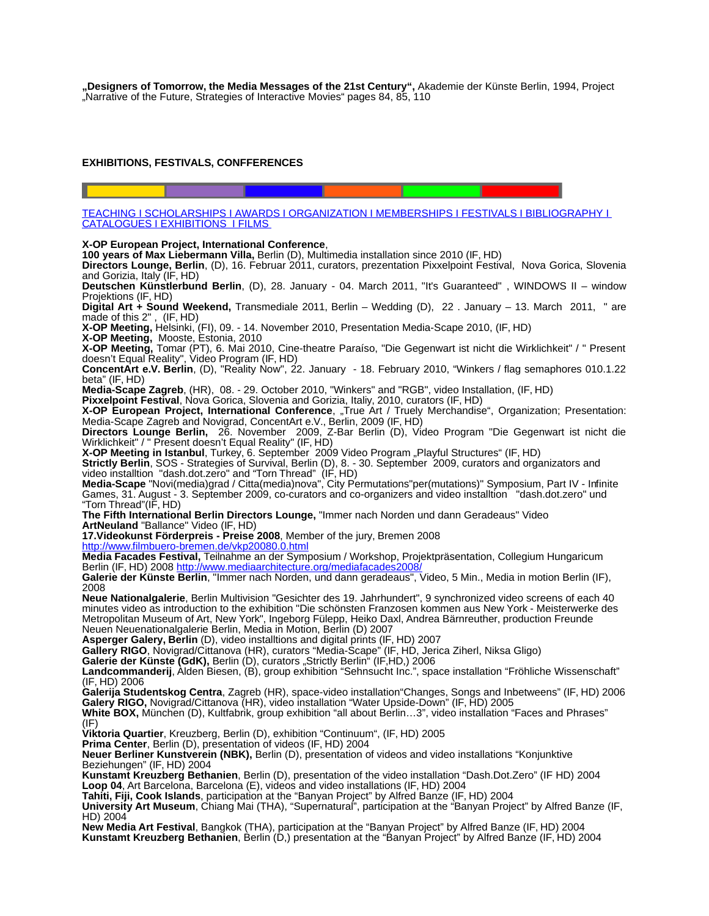**"Designers of Tomorrow, the Media Messages of the 21st Century",** Akademie der Künste Berlin, 1994, Project "Narrative of the Future, Strategies of Interactive Movies" pages 84, 85, 110

# <span id="page-6-0"></span>**EXHIBITIONS, FESTIVALS, CONFFERENCES**

 [TEACHING](#page-1-2) I [SCHOLARSHIPS](#page-1-1) I [AWARDS](#page-1-0) I [ORGANIZATION](#page-2-0) I [MEMBERSHIPS](http://Mmberships/) I [FESTIVALS](#page-3-0) I [BIBLIOGRAPHY](#page-4-0) I  [CATALOGUES](#page-5-0) I [EXHIBITIONS](#page-6-0) I [FILMS](#page-6-0)

### **X-OP European Project, International Conference**,

**100 years of Max Liebermann Villa,** Berlin (D), Multimedia installation since 2010 (IF, HD)

**Directors Lounge, Berlin**, (D), 16. Februar 2011, curators, prezentation Pixxelpoint Festival, Nova Gorica, Slovenia and Gorizia, Italy (IF, HD)

**Deutschen Künstlerbund Berlin**, (D), 28. January - 04. March 2011, "It's Guaranteed" , WINDOWS II – window Projektions (IF, HD)

**Digital Art + Sound Weekend,** Transmediale 2011, Berlin – Wedding (D), 22 . January – 13. March 2011, " are made of this 2" , (IF, HD)

**X-OP Meeting,** Helsinki, (FI), 09. - 14. November 2010, Presentation Media-Scape 2010, (IF, HD)

**X-OP Meeting,** Mooste, Estonia, 2010

**X-OP Meeting,** Tomar (PT), 6. Mai 2010, Cine-theatre Paraíso, "Die Gegenwart ist nicht die Wirklichkeit" / " Present doesn't Equal Reality", Video Program (IF, HD)

**ConcentArt e.V. Berlin**, (D), "Reality Now", 22. January - 18. February 2010, "Winkers / flag semaphores 010.1.22 beta" (IF, HD)

**Media-Scape Zagreb**, (HR), 08. - 29. October 2010, "Winkers" and "RGB", video Installation, (IF, HD)

**Pixxelpoint Festival**, Nova Gorica, Slovenia and Gorizia, Italiy, 2010, curators (IF, HD)

X-OP European Project, International Conference, "True Art / Truely Merchandise", Organization; Presentation: Media-Scape Zagreb and Novigrad, ConcentArt e.V., Berlin, 2009 (IF, HD)

**Directors Lounge Berlin,** 26. November 2009, Z-Bar Berlin (D), Video Program "Die Gegenwart ist nicht die Wirklichkeit" / " Present doesn't Equal Reality" (IF, HD)

**X-OP Meeting in Istanbul**, Turkey, 6. September 2009 Video Program "Playful Structures" (IF, HD)

**Strictly Berlin**, SOS - Strategies of Survival, Berlin (D), 8. - 30. September 2009, curators and organizators and video installtion "dash.dot.zero" and "Torn Thread" (IF, HD)

**Media-Scape** "Novi(media)grad / Citta(media)nova", City Permutations"per(mutations)" Symposium, Part IV - Infinite Games, 31. August - 3. September 2009, co-curators and co-organizers and video installtion "dash.dot.zero" und "Torn Thread"(IF, HD)

**The Fifth International Berlin Directors Lounge,** "Immer nach Norden und dann Geradeaus" Video **ArtNeuland** "Ballance" Video (IF, HD)

**17.Videokunst Förderpreis - Preise 2008**, Member of the jury, Bremen 2008

<http://www.filmbuero-bremen.de/vkp20080.0.html>

**Media Facades Festival,** Teilnahme an der Symposium / Workshop, Projektpräsentation, Collegium Hungaricum Berlin (IF, HD) 2008 http://www.mediaarchitecture.org/mediafacades2

**Galerie der Künste Berlin**, "Immer nach Norden, und dann geradeaus", Video, 5 Min., Media in motion Berlin (IF), 2008

**Neue Nationalgalerie**, Berlin Multivision "Gesichter des 19. Jahrhundert", 9 synchronized video screens of each 40 minutes video as introduction to the exhibition "Die schönsten Franzosen kommen aus New York - Meisterwerke des Metropolitan Museum of Art, New York", Ingeborg Fülepp, Heiko Daxl, Andrea Bärnreuther, production Freunde Neuen Neuenationalgalerie Berlin, Media in Motion, Berlin (D) 2007

**Asperger Galery, Berlin** (D), video installtions and digital prints (IF, HD) 2007

**Gallery RIGO**, Novigrad/Cittanova (HR), curators "Media-Scape" (IF, HD, Jerica Ziherl, Niksa Gligo)

Galerie der Künste (GdK), Berlin (D), curators "Strictly Berlin" (IF,HD,) 2006

**Landcommanderij**, Alden Biesen, (B), group exhibition "Sehnsucht Inc.", space installation "Fröhliche Wissenschaft" (IF, HD) 2006

**Galerija Studentskog Centra**, Zagreb (HR), space-video installation"Changes, Songs and Inbetweens" (IF, HD) 2006 **Galery RIGO,** Novigrad/Cittanova (HR), video installation "Water Upside-Down" (IF, HD) 2005

**White BOX,** München (D), Kultfabrik, group exhibition "all about Berlin…3", video installation "Faces and Phrases" (IF)

**Viktoria Quartier**, Kreuzberg, Berlin (D), exhibition "Continuum", (IF, HD) 2005

**Prima Center**, Berlin (D), presentation of videos (IF, HD) 2004

**Neuer Berliner Kunstverein (NBK),** Berlin (D), presentation of videos and video installations "Konjunktive Beziehungen" (IF, HD) 2004

**Kunstamt Kreuzberg Bethanien**, Berlin (D), presentation of the video installation "Dash.Dot.Zero" (IF HD) 2004 **Loop 04**, Art Barcelona, Barcelona (E), videos and video installations (IF, HD) 2004

**Tahiti, Fiji, Cook Islands**, participation at the "Banyan Project" by Alfred Banze (IF, HD) 2004

**University Art Museum**, Chiang Mai (THA), "Supernatural", participation at the "Banyan Project" by Alfred Banze (IF, HD) 2004

**New Media Art Festival**, Bangkok (THA), participation at the "Banyan Project" by Alfred Banze (IF, HD) 2004 **Kunstamt Kreuzberg Bethanien**, Berlin (D,) presentation at the "Banyan Project" by Alfred Banze (IF, HD) 2004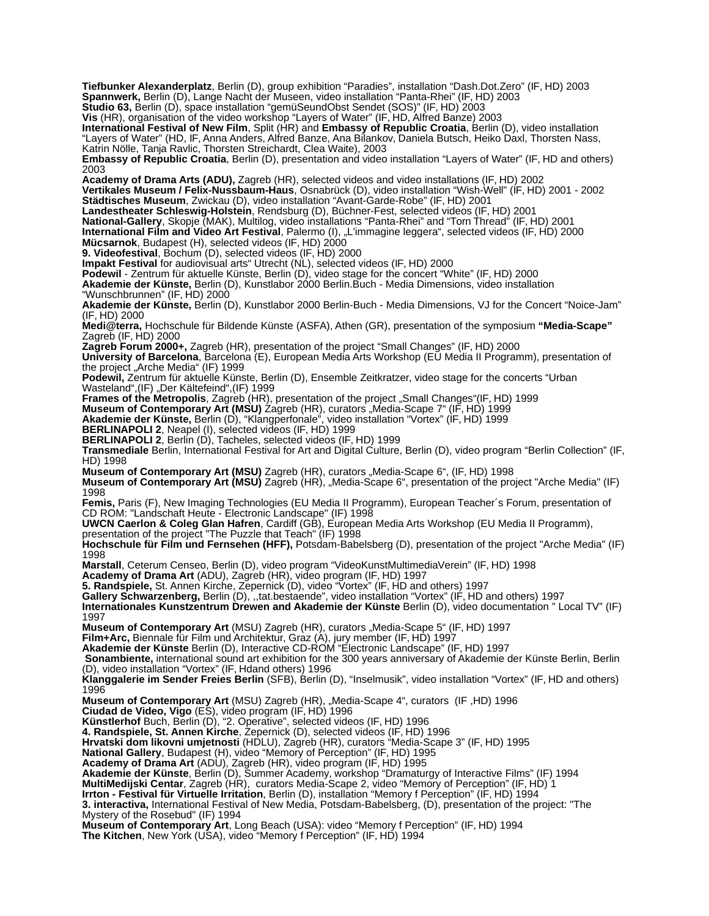**Tiefbunker Alexanderplatz**, Berlin (D), group exhibition "Paradies", installation "Dash.Dot.Zero" (IF, HD) 2003 **Spannwerk,** Berlin (D), Lange Nacht der Museen, video installation "Panta-Rhei" (IF, HD) 2003

Studio 63, Berlin (D), space installation "gemüSeundObst Sendet (SOS)" (IF, HD) 2003

**Vis** (HR), organisation of the video workshop "Layers of Water" (IF, HD, Alfred Banze) 2003

**International Festival of New Film**, Split (HR) and **Embassy of Republic Croatia**, Berlin (D), video installation "Layers of Water" (HD, IF, Anna Anders, Alfred Banze, Ana Bilankov, Daniela Butsch, Heiko Daxl, Thorsten Nass, Katrin Nölle, Tanja Ravlic, Thorsten Streichardt, Clea Waite), 2003

**Embassy of Republic Croatia**, Berlin (D), presentation and video installation "Layers of Water" (IF, HD and others) 2003

**Academy of Drama Arts (ADU),** Zagreb (HR), selected videos and video installations (IF, HD) 2002

**Vertikales Museum / Felix-Nussbaum-Haus**, Osnabrück (D), video installation "Wish-Well" (IF, HD) 2001 - 2002 **Städtisches Museum**, Zwickau (D), video installation "Avant-Garde-Robe" (IF, HD) 2001

**Landestheater Schleswig-Holstein**, Rendsburg (D), Büchner-Fest, selected videos (IF, HD) 2001

**National-Gallery**, Skopje (MAK), Multilog, video installations "Panta-Rhei" and "Torn Thread" (IF, HD) 2001

**International Film and Video Art Festival**, Palermo (I), "L'immagine leggera", selected videos (IF, HD) 2000 **Mücsarnok**, Budapest (H), selected videos (IF, HD) 2000

**9. Videofestival**, Bochum (D), selected videos (IF, HD) 2000

**Impakt Festival** for audiovisual arts" Utrecht (NL), selected videos (IF, HD) 2000

**Podewil** - Zentrum für aktuelle Künste, Berlin (D), video stage for the concert "White" (IF, HD) 2000 **Akademie der Künste,** Berlin (D), Kunstlabor 2000 Berlin.Buch - Media Dimensions, video installation

"Wunschbrunnen" (IF, HD) 2000

**Akademie der Künste,** Berlin (D), Kunstlabor 2000 Berlin-Buch - Media Dimensions, VJ for the Concert "Noice-Jam" (IF, HD) 2000

**Medi@terra,** Hochschule für Bildende Künste (ASFA), Athen (GR), presentation of the symposium **"Media-Scape"** Zagreb (IF, HD) 2000

**Zagreb Forum 2000+,** Zagreb (HR), presentation of the project "Small Changes" (IF, HD) 2000

**University of Barcelona**, Barcelona (E), European Media Arts Workshop (EU Media II Programm), presentation of the project "Arche Media" (IF) 1999

**Podewil,** Zentrum für aktuelle Künste, Berlin (D), Ensemble Zeitkratzer, video stage for the concerts "Urban Wasteland", (IF) "Der Kältefeind", (IF) 1999

**Frames of the Metropolis**, Zagreb (HR), presentation of the project "Small Changes"(IF, HD) 1999

**Museum of Contemporary Art (MSU)** Zagreb (HR), curators "Media-Scape 7" (IF, HD) 1999

**Akademie der Künste,** Berlin (D), "Klangperfonale", video installation "Vortex" (IF, HD) 1999

**BERLINAPOLI 2**, Neapel (I), selected videos (IF, HD) 1999

**BERLINAPOLI 2**, Berlin (D), Tacheles, selected videos (IF, HD) 1999

**Transmediale** Berlin, International Festival for Art and Digital Culture, Berlin (D), video program "Berlin Collection" (IF, HD) 1998

**Museum of Contemporary Art (MSU)** Zagreb (HR), curators "Media-Scape 6", (IF, HD) 1998

**Museum of Contemporary Art (MSU)** Zagreb (HR), "Media-Scape 6", presentation of the project "Arche Media" (IF) 1998

**Femis,** Paris (F), New Imaging Technologies (EU Media II Programm), European Teacher´s Forum, presentation of CD ROM: "Landschaft Heute - Electronic Landscape" (IF) 1998

**UWCN Caerlon & Coleg Glan Hafren**, Cardiff (GB), European Media Arts Workshop (EU Media II Programm), presentation of the project "The Puzzle that Teach" (IF) 1998

**Hochschule für Film und Fernsehen (HFF),** Potsdam-Babelsberg (D), presentation of the project "Arche Media" (IF) 1998

**Marstall**, Ceterum Censeo, Berlin (D), video program "VideoKunstMultimediaVerein" (IF, HD) 1998

**Academy of Drama Art** (ADU), Zagreb (HR), video program (IF, HD) 1997

**5. Randspiele,** St. Annen Kirche, Zepernick (D), video "Vortex" (IF, HD and others) 1997

**Gallery Schwarzenberg,** Berlin (D), ,,tat.bestaende", video installation "Vortex" (IF, HD and others) 1997 **Internationales Kunstzentrum Drewen and Akademie der Künste** Berlin (D), video documentation " Local TV" (IF)

1997

**Museum of Contemporary Art** (MSU) Zagreb (HR), curators "Media-Scape 5" (IF, HD) 1997

**Film+Arc,** Biennale für Film und Architektur, Graz (A), jury member (IF, HD) 1997

**Akademie der Künste** Berlin (D), Interactive CD-ROM "Electronic Landscape" (IF, HD) 1997

**Sonambiente,** international sound art exhibition for the 300 years anniversary of Akademie der Künste Berlin, Berlin (D), video installation "Vortex" (IF, Hdand others) 1996

**Klanggalerie im Sender Freies Berlin** (SFB), Berlin (D), "Inselmusik", video installation "Vortex" (IF, HD and others) 1996

**Museum of Contemporary Art** (MSU) Zagreb (HR), "Media-Scape 4", curators (IF, HD) 1996

**Ciudad de Video, Vigo** (ES), video program (IF, HD) 1996

**Künstlerhof** Buch, Berlin (D), "2. Operative", selected videos (IF, HD) 1996

**4. Randspiele, St. Annen Kirche**, Zepernick (D), selected videos (IF, HD) 1996

**Hrvatski dom likovni umjetnosti** (HDLU), Zagreb (HR), curators "Media-Scape 3" (IF, HD) 1995

**National Gallery**, Budapest (H), video "Memory of Perception" (IF, HD) 1995

**Academy of Drama Art** (ADU), Zagreb (HR), video program (IF, HD) 1995

**Akademie der Künste**, Berlin (D), Summer Academy, workshop "Dramaturgy of Interactive Films" (IF) 1994

**MultiMedijski Centar**, Zagreb (HR), curators Media-Scape 2, video "Memory of Perception" (IF, HD) 1

**Irrton - Festival für Virtuelle Irritation**, Berlin (D), installation "Memory f Perception" (IF, HD) 1994

**3. interactiva,** International Festival of New Media, Potsdam-Babelsberg, (D), presentation of the project: "The Mystery of the Rosebud" (IF) 1994

**Museum of Contemporary Art**, Long Beach (USA): video "Memory f Perception" (IF, HD) 1994 **The Kitchen**, New York (USA), video "Memory f Perception" (IF, HD) 1994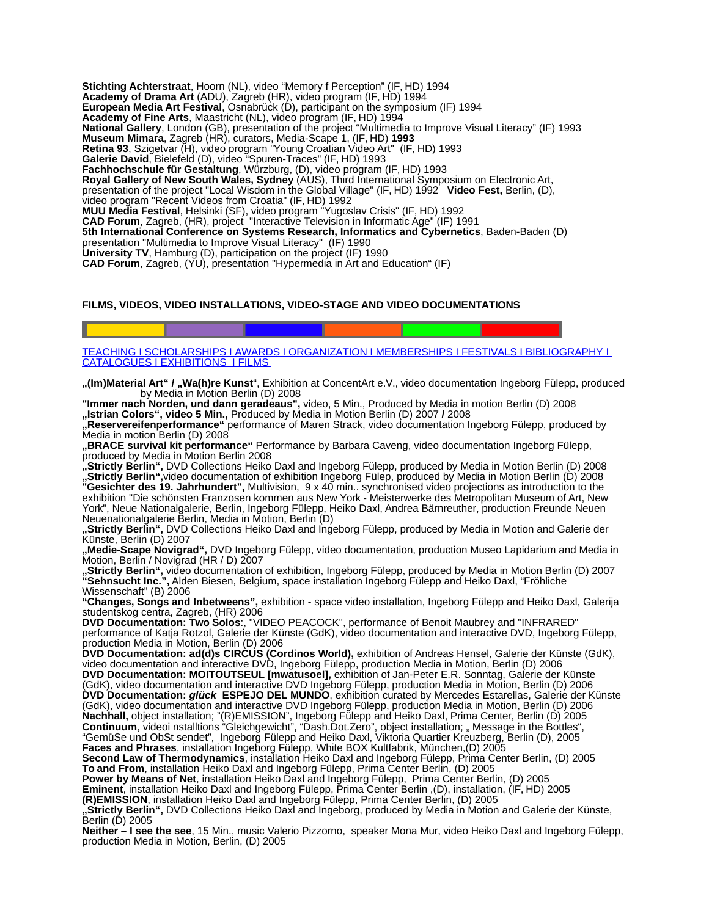**Stichting Achterstraat**, Hoorn (NL), video "Memory f Perception" (IF, HD) 1994 **Academy of Drama Art** (ADU), Zagreb (HR), video program (IF, HD) 1994 **European Media Art Festival**, Osnabrück (D), participant on the symposium (IF) 1994 **Academy of Fine Arts**, Maastricht (NL), video program (IF, HD) 1994 **National Gallery**, London (GB), presentation of the project "Multimedia to Improve Visual Literacy" (IF) 1993 **Museum Mimara**, Zagreb (HR), curators, Media-Scape 1, (IF, HD) **1993 Retina 93**, Szigetvar (H), video program "Young Croatian Video Art" (IF, HD) 1993 **Galerie David**, Bielefeld (D), video "Spuren-Traces" (IF, HD) 1993 **Fachhochschule für Gestaltung**, Würzburg, (D), video program (IF, HD) 1993 **Royal Gallery of New South Wales, Sydney** (AUS), Third International Symposium on Electronic Art, presentation of the project "Local Wisdom in the Global Village" (IF, HD) 1992 **Video Fest,** Berlin, (D), video program "Recent Videos from Croatia" (IF, HD) 1992 **MUU Media Festival**, Helsinki (SF), video program "Yugoslav Crisis" (IF, HD) 1992 **CAD Forum**, Zagreb, (HR), project "Interactive Television in Informatic Age" (IF) 1991 **5th International Conference on Systems Research, Informatics and Cybernetics**, Baden-Baden (D) presentation "Multimedia to Improve Visual Literacy" (IF) 1990 **University TV**, Hamburg (D), participation on the project (IF) 1990 **CAD Forum**, Zagreb, (YU), presentation "Hypermedia in Art and Education" (IF)

# **FILMS, VIDEOS, VIDEO INSTALLATIONS, VIDEO-STAGE AND VIDEO DOCUMENTATIONS**

# [TEACHING](#page-1-2) I [SCHOLARSHIPS](#page-1-1) I [AWARDS](#page-1-0) I [ORGANIZATION](#page-2-0) I [MEMBERSHIPS](http://Mmberships/) I [FESTIVALS](#page-3-0) I [BIBLIOGRAPHY](#page-4-0) I  [CATALOGUES](#page-5-0) I [EXHIBITIONS](#page-6-0) I [FILMS](#page-6-0)

**"(Im)Material Art" / "Wa(h)re Kunst**", Exhibition at ConcentArt e.V., video documentation Ingeborg Fülepp, produced by Media in Motion Berlin (D) 2008

**"Immer nach Norden, und dann geradeaus",** video, 5 Min., Produced by Media in motion Berlin (D) 2008 **"Istrian Colors", video 5 Min.,** Produced by Media in Motion Berlin (D) 2007 **/** 2008

**"Reservereifenperformance"** performance of Maren Strack, video documentation Ingeborg Fülepp, produced by Media in motion Berlin (D) 2008

**"BRACE survival kit performance"** Performance by Barbara Caveng, video documentation Ingeborg Fülepp, produced by Media in Motion Berlin 2008

**"Strictly Berlin",** DVD Collections Heiko Daxl and Ingeborg Fülepp, produced by Media in Motion Berlin (D) 2008 **"Strictly Berlin",**video documentation of exhibition Ingeborg Fülep, produced by Media in Motion Berlin (D) 2008 **"Gesichter des 19. Jahrhundert",** Multivision,9 x 40 min.. synchronised video projections as introduction to the exhibition "Die schönsten Franzosen kommen aus New York - Meisterwerke des Metropolitan Museum of Art, New York", Neue Nationalgalerie, Berlin, Ingeborg Fülepp, Heiko Daxl, Andrea Bärnreuther, production Freunde Neuen Neuenationalgalerie Berlin, Media in Motion, Berlin (D)

**"Strictly Berlin",** DVD Collections Heiko Daxl and Ingeborg Fülepp, produced by Media in Motion and Galerie der Künste, Berlin (D) 2007

**"Medie-Scape Novigrad",** DVD Ingeborg Fülepp, video documentation, production Museo Lapidarium and Media in Motion, Berlin / Novigrad (HR / D) 2007

**"Strictly Berlin",** video documentation of exhibition, Ingeborg Fülepp, produced by Media in Motion Berlin (D) 2007 **"Sehnsucht Inc.",** Alden Biesen, Belgium, space installation Ingeborg Fülepp and Heiko Daxl, "Fröhliche Wissenschaft" (B) 2006

**"Changes, Songs and Inbetweens",** exhibition - space video installation, Ingeborg Fülepp and Heiko Daxl, Galerija studentskog centra, Zagreb, (HR) 2006

**DVD Documentation: Two Solos**:, "VIDEO PEACOCK", performance of Benoit Maubrey and "INFRARED" performance of Katja Rotzol, Galerie der Künste (GdK), video documentation and interactive DVD, Ingeborg Fülepp, production Media in Motion, Berlin (D) 2006

**DVD Documentation: ad(d)s CIRCUS (Cordinos World),** exhibition of Andreas Hensel, Galerie der Künste (GdK), video documentation and interactive DVD, Ingeborg Fülepp, production Media in Motion, Berlin (D) 2006

**DVD Documentation: MOITOUTSEUL [mwatusoel],** exhibition of Jan-Peter E.R. Sonntag, Galerie der Künste (GdK), video documentation and interactive DVD Ingeborg Fülepp, production Media in Motion, Berlin (D) 2006 **DVD Documentation: glück ESPEJO DEL MUNDO**, exhibition curated by Mercedes Estarellas, Galerie der Künste (GdK), video documentation and interactive DVD Ingeborg Fülepp, production Media in Motion, Berlin (D) 2006 **Nachhall,** object installation; "(R)EMISSION", Ingeborg Fülepp and Heiko Daxl, Prima Center, Berlin (D) 2005 **Continuum**, videoi nstalltions "Gleichgewicht", "Dash.Dot.Zero", object installation; " Message in the Bottles", "GemüSe und ObSt sendet", Ingeborg Fülepp and Heiko Daxl, Viktoria Quartier Kreuzberg, Berlin (D), 2005 **Faces and Phrases**, installation Ingeborg Fülepp, White BOX Kultfabrik, München,(D) 2005

**Second Law of Thermodynamics**, installation Heiko Daxl and Ingeborg Fülepp, Prima Center Berlin, (D) 2005 **To and From**, installation Heiko Daxl and Ingeborg Fülepp, Prima Center Berlin, (D) 2005

**Power by Means of Net**, installation Heiko Daxl and Ingeborg Fülepp, Prima Center Berlin, (D) 2005

**Eminent**, installation Heiko Daxl and Ingeborg Fülepp, Prima Center Berlin ,(D), installation, (IF, HD) 2005

**(R)EMISSION**, installation Heiko Daxl and Ingeborg Fülepp, Prima Center Berlin, (D) 2005

**"Strictly Berlin",** DVD Collections Heiko Daxl and Ingeborg, produced by Media in Motion and Galerie der Künste, Berlin (D) 2005

**Neither – I see the see**, 15 Min., music Valerio Pizzorno, speaker Mona Mur, video Heiko Daxl and Ingeborg Fülepp, production Media in Motion, Berlin, (D) 2005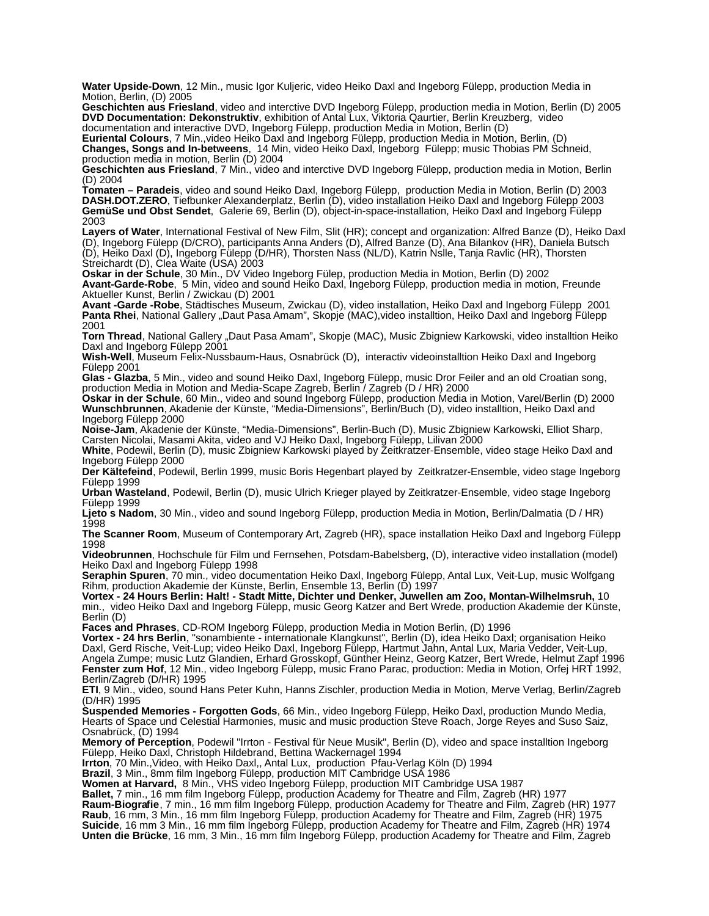**Water Upside-Down**, 12 Min., music Igor Kuljeric, video Heiko Daxl and Ingeborg Fülepp, production Media in Motion, Berlin, (D) 2005

**Geschichten aus Friesland**, video and interctive DVD Ingeborg Fülepp, production media in Motion, Berlin (D) 2005 **DVD Documentation: Dekonstruktiv**, exhibition of Antal Lux, Viktoria Qaurtier, Berlin Kreuzberg, video documentation and interactive DVD, Ingeborg Fülepp, production Media in Motion, Berlin (D)

**Euriental Colours**, 7 Min.,video Heiko Daxl and Ingeborg Fülepp, production Media in Motion, Berlin, (D) **Changes, Songs and In-betweens**, 14 Min, video Heiko Daxl, Ingeborg Fülepp; music Thobias PM Schneid, production media in motion, Berlin (D) 2004

**Geschichten aus Friesland**, 7 Min., video and interctive DVD Ingeborg Fülepp, production media in Motion, Berlin (D) 2004

**Tomaten – Paradeis**, video and sound Heiko Daxl, Ingeborg Fülepp, production Media in Motion, Berlin (D) 2003 **DASH.DOT.ZERO**, Tiefbunker Alexanderplatz, Berlin (D), video installation Heiko Daxl and Ingeborg Fülepp 2003 **GemüSe und Obst Sendet**, Galerie 69, Berlin (D), object-in-space-installation, Heiko Daxl and Ingeborg Fülepp 2003

**Layers of Water**, International Festival of New Film, Slit (HR); concept and organization: Alfred Banze (D), Heiko Daxl (D), Ingeborg Fülepp (D/CRO), participants Anna Anders (D), Alfred Banze (D), Ana Bilankov (HR), Daniela Butsch (D), Heiko Daxl (D), Ingeborg Fülepp (D/HR), Thorsten Nass (NL/D), Katrin Nslle, Tanja Ravlic (HR), Thorsten Streichardt (D), Clea Waite (USA) 2003

**Oskar in der Schule**, 30 Min., DV Video Ingeborg Fülep, production Media in Motion, Berlin (D) 2002 **Avant-Garde-Robe**, 5 Min, video and sound Heiko Daxl, Ingeborg Fülepp, production media in motion, Freunde Aktueller Kunst, Berlin / Zwickau (D) 2001

**Avant -Garde -Robe**, Städtisches Museum, Zwickau (D), video installation, Heiko Daxl and Ingeborg Fülepp 2001 Panta Rhei, National Gallery "Daut Pasa Amam", Skopje (MAC), video installtion, Heiko Daxl and Ingeborg Fülepp 2001

Torn Thread, National Gallery "Daut Pasa Amam", Skopje (MAC), Music Zbigniew Karkowski, video installtion Heiko Daxl and Ingeborg Fülepp 2001

**Wish-Well**, Museum Felix-Nussbaum-Haus, Osnabrück (D), interactiv videoinstalltion Heiko Daxl and Ingeborg Fülepp 2001

**Glas - Glazba**, 5 Min., video and sound Heiko Daxl, Ingeborg Fülepp, music Dror Feiler and an old Croatian song, production Media in Motion and Media-Scape Zagreb, Berlin / Zagreb (D / HR) 2000

**Oskar in der Schule**, 60 Min., video and sound Ingeborg Fülepp, production Media in Motion, Varel/Berlin (D) 2000 **Wunschbrunnen**, Akadenie der Künste, "Media-Dimensions", Berlin/Buch (D), video installtion, Heiko Daxl and Ingeborg Fülepp 2000

**Noise-Jam**, Akadenie der Künste, "Media-Dimensions", Berlin-Buch (D), Music Zbigniew Karkowski, Elliot Sharp, Carsten Nicolai, Masami Akita, video and VJ Heiko Daxl, Ingeborg Fülepp, Lilivan 2000

**White**, Podewil, Berlin (D), music Zbigniew Karkowski played by Zeitkratzer-Ensemble, video stage Heiko Daxl and Ingeborg Fülepp 2000

**Der Kältefeind**, Podewil, Berlin 1999, music Boris Hegenbart played by Zeitkratzer-Ensemble, video stage Ingeborg Fülepp 1999

**Urban Wasteland**, Podewil, Berlin (D), music Ulrich Krieger played by Zeitkratzer-Ensemble, video stage Ingeborg Fülepp 1999

**Ljeto s Nadom**, 30 Min., video and sound Ingeborg Fülepp, production Media in Motion, Berlin/Dalmatia (D / HR) 1998

**The Scanner Room**, Museum of Contemporary Art, Zagreb (HR), space installation Heiko Daxl and Ingeborg Fülepp 1998

**Videobrunnen**, Hochschule für Film und Fernsehen, Potsdam-Babelsberg, (D), interactive video installation (model) Heiko Daxl and Ingeborg Fülepp 1998

**Seraphin Spuren**, 70 min., video documentation Heiko Daxl, Ingeborg Fülepp, Antal Lux, Veit-Lup, music Wolfgang Rihm, production Akademie der Künste, Berlin, Ensemble 13, Berlin (D) 1997

**Vortex - 24 Hours Berlin: Halt! - Stadt Mitte, Dichter und Denker, Juwellen am Zoo, Montan-Wilhelmsruh,** 10 min., video Heiko Daxl and Ingeborg Fülepp, music Georg Katzer and Bert Wrede, production Akademie der Künste, Berlin (D)

**Faces and Phrases**, CD-ROM Ingeborg Fülepp, production Media in Motion Berlin, (D) 1996

**Vortex - 24 hrs Berlin**, "sonambiente - internationale Klangkunst", Berlin (D), idea Heiko Daxl; organisation Heiko Daxl, Gerd Rische, Veit-Lup; video Heiko Daxl, Ingeborg Fülepp, Hartmut Jahn, Antal Lux, Maria Vedder, Veit-Lup, Angela Zumpe; music Lutz Glandien, Erhard Grosskopf, Günther Heinz, Georg Katzer, Bert Wrede, Helmut Zapf 1996 **Fenster zum Hof**, 12 Min., video Ingeborg Fülepp, music Frano Parac, production: Media in Motion, Orfej HRT 1992, Berlin/Zagreb (D/HR) 1995

**ETI**, 9 Min., video, sound Hans Peter Kuhn, Hanns Zischler, production Media in Motion, Merve Verlag, Berlin/Zagreb (D/HR) 1995

**Suspended Memories - Forgotten Gods**, 66 Min., video Ingeborg Fülepp, Heiko Daxl, production Mundo Media, Hearts of Space und Celestial Harmonies, music and music production Steve Roach, Jorge Reyes and Suso Saiz, Osnabrück, (D) 1994

**Memory of Perception**, Podewil "Irrton - Festival für Neue Musik", Berlin (D), video and space installtion Ingeborg Fülepp, Heiko Daxl, Christoph Hildebrand, Bettina Wackernagel 1994

**Irrton**, 70 Min.,Video, with Heiko Daxl,, Antal Lux, production Pfau-Verlag Köln (D) 1994

**Brazil**, 3 Min., 8mm film Ingeborg Fülepp, production MIT Cambridge USA 1986

**Women at Harvard,** 8 Min., VHS video Ingeborg Fülepp, production MIT Cambridge USA 1987

**Ballet,** 7 min., 16 mm film Ingeborg Fülepp, production Academy for Theatre and Film, Zagreb (HR) 1977 **Raum-Biografie**, 7 min., 16 mm film Ingeborg Fülepp, production Academy for Theatre and Film, Zagreb (HR) 1977 **Raub**, 16 mm, 3 Min., 16 mm film Ingeborg Fülepp, production Academy for Theatre and Film, Zagreb (HR) 1975 **Suicide**, 16 mm 3 Min., 16 mm film Ingeborg Fülepp, production Academy for Theatre and Film, Zagreb (HR) 1974 **Unten die Brücke**, 16 mm, 3 Min., 16 mm film Ingeborg Fülepp, production Academy for Theatre and Film, Zagreb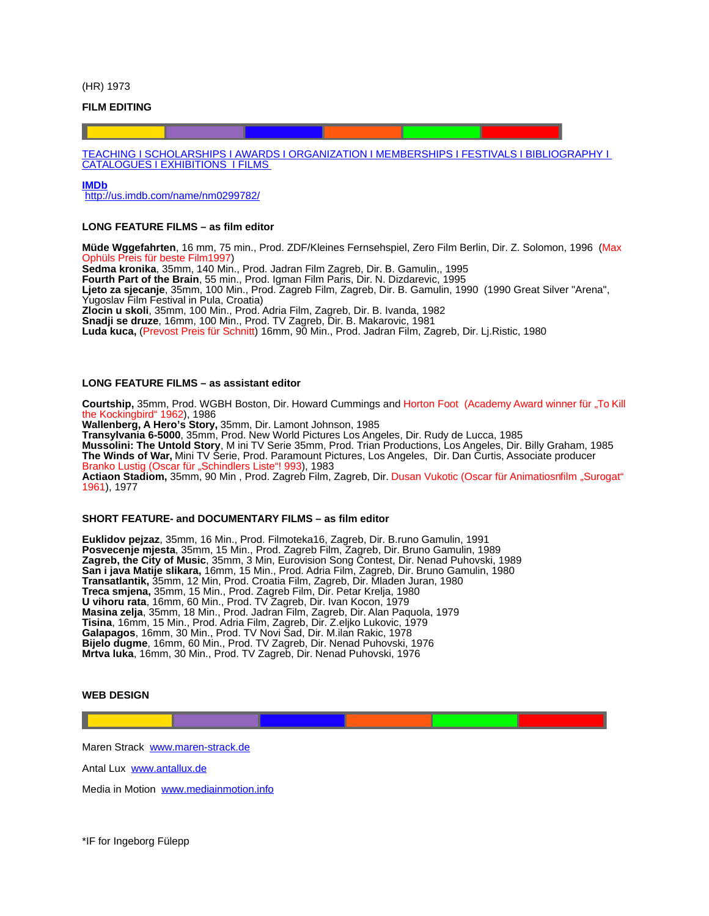(HR) 1973

#### **FILM EDITING**

 [TEACHING](#page-1-2) I [SCHOLARSHIPS](#page-1-1) I [AWARDS](#page-1-0) I [ORGANIZATION](#page-2-0) I [MEMBERSHIPS](http://Mmberships/) I [FESTIVALS](#page-3-0) I [BIBLIOGRAPHY](#page-4-0) I  [CATALOGUES](#page-5-0) I [EXHIBITIONS](#page-6-0) I [FILMS](#page-6-0)

#### **[IMDb](http://us.imdb.com/name/nm0299782/)**

<http://us.imdb.com/name/nm0299782/>

## **LONG FEATURE FILMS – as film editor**

**Müde Wggefahrten**, 16 mm, 75 min., Prod. ZDF/Kleines Fernsehspiel, Zero Film Berlin, Dir. Z. Solomon, 1996 (Max Teis für beste Film1997 **Sedma kronika**, 35mm, 140 Min., Prod. Jadran Film Zagreb, Dir. B. Gamulin,, 1995 **Fourth Part of the Brain**, 55 min., Prod. Igman Film Paris, Dir. N. Dizdarevic, 1995 **Ljeto za sjecanje**, 35mm, 100 Min., Prod. Zagreb Film, Zagreb, Dir. B. Gamulin, 1990 (1990 Great Silver "Arena", Yugoslav Film Festival in Pula, Croatia) **Zlocin u skoli**, 35mm, 100 Min., Prod. Adria Film, Zagreb, Dir. B. Ivanda, 1982 **Snadji se druze**, 16mm, 100 Min., Prod. TV Zagreb, Dir. B. Makarovic, 1981 **Luda kuca,** (Prevost Preis für Schnitt) 16mm, 90 Min., Prod. Jadran Film, Zagreb, Dir. Lj.Ristic, 1980

### **LONG FEATURE FILMS – as assistant editor**

**Courtship,** 35mm, Prod. WGBH Boston, Dir. Howard Cummings and Horton Foot (Academy Award winner für "To Kill the Kockingbird" 1962), 1986 **Wallenberg, A Hero's Story,** 35mm, Dir. Lamont Johnson, 1985 **Transylvania 6-5000**, 35mm, Prod. New World Pictures Los Angeles, Dir. Rudy de Lucca, 1985 **Mussolini: The Untold Story**, M ini TV Serie 35mm, Prod. Trian Productions, Los Angeles, Dir. Billy Graham, 1985 **The Winds of War,** Mini TV Serie, Prod. Paramount Pictures, Los Angeles, Dir. Dan Curtis, Associate producer Branko Lustig (Oscar für "Schindlers Liste"! 993), 1983 **Actiaon Stadiom,** 35mm, 90 Min , Prod. Zagreb Film, Zagreb, Dir. Dusan Vukotic (Oscar für Animatiosnfilm "Surogat" 1961), 1977

#### **SHORT FEATURE- and DOCUMENTARY FILMS – as film editor**

**Euklidov pejzaz**, 35mm, 16 Min., Prod. Filmoteka16, Zagreb, Dir. B.runo Gamulin, 1991 **Posvecenje mjesta**, 35mm, 15 Min., Prod. Zagreb Film, Zagreb, Dir. Bruno Gamulin, 1989 **Zagreb, the City of Music**, 35mm, 3 Min, Eurovision Song Contest, Dir. Nenad Puhovski, 1989 **San i java Matije slikara,** 16mm, 15 Min., Prod. Adria Film, Zagreb, Dir. Bruno Gamulin, 1980 **Transatlantik,** 35mm, 12 Min, Prod. Croatia Film, Zagreb, Dir. Mladen Juran, 1980 **Treca smjena,** 35mm, 15 Min., Prod. Zagreb Film, Dir. Petar Krelja, 1980 **U vihoru rata**, 16mm, 60 Min., Prod. TV Zagreb, Dir. Ivan Kocon, 1979 **Masina zelja**, 35mm, 18 Min., Prod. Jadran Film, Zagreb, Dir. Alan Paquola, 1979 **Tisina**, 16mm, 15 Min., Prod. Adria Film, Zagreb, Dir. Z.eljko Lukovic, 1979 **Galapagos**, 16mm, 30 Min., Prod. TV Novi Sad, Dir. M.ilan Rakic, 1978 **Bijelo dugme**, 16mm, 60 Min., Prod. TV Zagreb, Dir. Nenad Puhovski, 1976 **Mrtva luka**, 16mm, 30 Min., Prod. TV Zagreb, Dir. Nenad Puhovski, 1976

#### **WEB DESIGN**

Maren Strack [www.maren-strack.de](http://www.maren-strack.de/)

Antal Lux [www.antallux.de](http://www.antallux.de/)

Media in Motion [www.mediainmotion.info](http://www.mediainmotion.info/)